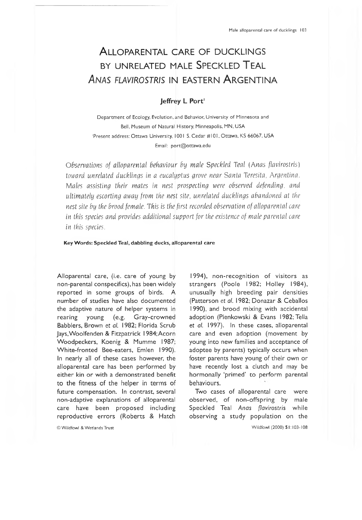# ALLO PARENTAL CARE OF DUCKLINGS BY UNRELATED MALE SPECKLED TEAL **ANAS FLAVIROSTRIS IN EASTERN ARGENTINA**

## Jeffrey L Port<sup>1</sup>

Department of Ecology, Evolution, and Behavior, University of Minnesota and Bell, Museum of Natural History, Minneapolis, MN, USA 'Present address: Ottawa University, 1001 S. Cedar #101, Ottawa, KS 66067, USA Email: [port@ottawa.edu](mailto:port@ottawa.edu)

*Observations of alloparental behaviour by male Speckled Teal (Anas flavirostris*) *toward unrelated ducklings in a eucalyptus grove near Santa* T*eresita, Argentina. Males assisting their mates in nest prospecting were observed defending, and ultimately escorting away from the nest site, unrelated ducklings abandoned at the nest site by the brood female. This is the first recorded observation of alloparental care in this species and provides additional support for the existence of male parental care in this species.*

### **Key Words: Speckled Teal, dabbling ducks, alloparental care**

Alloparental care, (i.e. care of young by non-parental conspecifics), has been widely reported in some groups of birds. A number of studies have also documented the adaptive nature of helper systems in rearing young (e.g. Gray-crowned Babblers, Brown et *al.* 1982; Florida Scrub Jays,Woolfenden & Fitzpatrick 1984;Acorn Woodpeckers, Koenig & Mumme 1987; White-fronted Bee-eaters, Emien 1990). In nearly all of these cases however, the alloparental care has been performed by either kin or with a demonstrated benefit to the fitness of the helper in terms of future compensation. In contrast, several non-adaptive explanations of alloparental care have been proposed including reproductive errors (Roberts & Hatch

© Wildfowl & Wetlands Trust

1994), non-recognition of visitors as strangers (Poole 1982; Holley 1984), unusually high breeding pair densities (Patterson et *al.* 1982; Donazar & Ceballos 1990), and brood mixing with accidental adoption (Pienkowski & Evans 1982; Telia et *al.* 1997). In these cases, alloparentai care and even adoption (movement by young into new families and acceptance of adoptee by parents) typically occurs when foster parents have young of their own or have recently lost a clutch and may be hormonally 'primed' to perform parental behaviours.

Two cases of alloparental care were observed, of non-offspring by male Speckled Teal *Anas flavirostris* while observing a study population on the

Wildfowl (2000) 51:103-108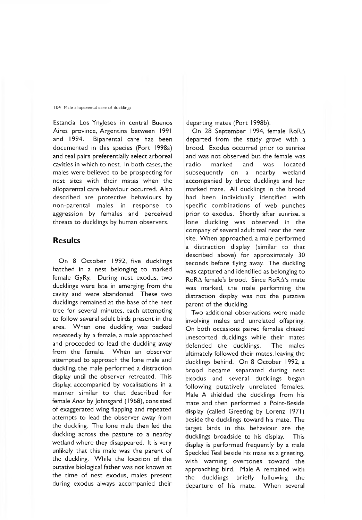#### 104 Male alloparental care of ducklings

Estancia Los Yngleses in central Buenos Aires province, Argentina between 1991 and 1994. Biparental care has been documented in this species (Port 1998a) and teal pairs preferentially select arboreal cavities in which to nest. In both cases, the males were believed to be prospecting for nest sites with their mates when the alloparental care behaviour occurred. Also described are protective behaviours by non-parental males in response to aggression by females and perceived threats to ducklings by human observers.

# **Results**

On 8 October 1992, five ducklings hatched in a nest belonging to marked female GyRy. During nest exodus, two ducklings were late in emerging from the cavity and were abandoned. These two ducklings remained at the base of the nest tree for several minutes, each attempting to follow several adult birds present in the area. When one duckling was pecked repeatedly by a female, a male approached and proceeded to lead the duckling away from the female. When an observer attempted to approach the lone male and duckling, the male performed a distraction display until the observer retreated. This display, accompanied by vocalisations in a manner similar to that described for female *Anas* by Johnsgard ( 1968), consisted of exaggerated wing flapping and repeated attempts to lead the observer away from the duckling. The lone male then led the duckling across the pasture to a nearby wetland where they disappeared. It is very unlikely that this male was the parent of the duckling. While the location of the putative biological father was not known at the time of nest exodus, males present during exodus always accompanied their departing mates (Port 1998b).

On 28 September 1994, female RoRA departed from the study grove with a brood. Exodus occurred prior to sunrise and was not observed but the female was radio marked and was located subsequently on a nearby wetland accompanied by three ducklings and her marked mate. All ducklings in the brood had been individually identified with specific combinations of web punches prior to exodus. Shortly after sunrise, a lone duckling was observed in the company of several adult teal near the nest site. When approached, a male performed a distraction display (similar to that described above) for approximately 30 seconds before flying away. The duckling was captured and identified as belonging to RoRA female's brood. Since RoRA's mate was marked, the male performing the distraction display was not the putative parent of the duckling.

Two additional observations were made involving males and unrelated offspring. On both occasions paired females chased unescorted ducklings while their mates defended the ducklings. The males ultimately followed their mates, leaving the ducklings behind. On 8 October 1992, a brood became separated during nest exodus and several ducklings began following putatively unrelated females. Male A shielded the ducklings from his mate and then performed a Point-Beside display (called Greeting by Lorenz 1971) beside the ducklings toward his mate. The target birds in this behaviour are the ducklings broadside to his display. This display is performed frequently by a male Speckled Teal beside his mate as a greeting, with warning overtones toward the approaching bird. Male A remained with the ducklings briefly following the departure of his mate. When several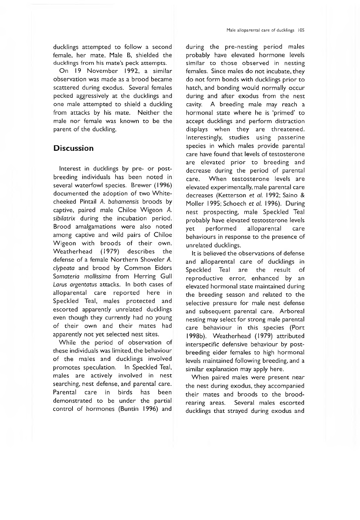ducklings attempted to follow a second female, her mate, Male B, shielded the ducklings from his mate's peck attempts.

On 19 November 1992, a similar observation was made as a brood became scattered during exodus. Several females pecked aggressively at the ducklings and one male attempted to shield a duckling from attacks by his mate. Neither the male nor female was known to be the parent of the duckling.

# **Discussion**

Interest in ducklings by pre- or postbreeding individuals has been noted in several waterfowl species. Brewer (1996) documented the adoption of two Whitecheeked Pintail A. *bahamensis* broods by captive, paired male Chiloe Wigeon A. *sibilatrix* during the incubation period. Brood amalgamations were also noted among captive and wild pairs of Chiloe Wigeon with broods of their own. Weatherhead (1979) describes the defense of a female Northern Shoveler A. *clypeata* and brood by Common Eiders *Somateria mollissima* from Herring Gull *Larus argentatus* attacks. In both cases of alloparental care reported here in Speckled Teal, males protected and escorted apparently unrelated ducklings even though they currently had no young of their own and their mates had apparently not yet selected nest sites.

While the period of observation of these individuals was limited, the behaviour of the males and ducklings involved promotes speculation. In Speckled Teal, males are actively involved in nest searching, nest defense, and parental care. Parental care in birds has been demonstrated to be under the partial control of hormones (Buntin 1996) and

during the pre-nesting period males probably have elevated hormone levels similar to those observed in nesting females. Since males do not incubate, they do not form bonds with ducklings prior to hatch, and bonding would normally occur during and after exodus from the nest cavity. A breeding male may reach a hormonal state where he is 'primed' to accept ducklings and perform distraction displays when they are threatened. Interestingly, studies using passerine species in which males provide parental care have found that levels of testosterone are elevated prior to breeding and decrease during the period of parental care. When testosterone levels are elevated experimentally, male parental care decreases (Ketterson et *al.* 1992; Saino & Moller 1995; Schoech et *al.* 1996). During nest prospecting, male Speckled Teal probably have elevated testosterone levels yet performed alloparental care behaviours in response to the presence of unrelated ducklings.

It is believed the observations of defense and alloparental care of ducklings in Speckled Teal are the result of reproductive error, enhanced by an elevated hormonal state maintained during the breeding season and related to the selective pressure for male nest defense and subsequent parental care. Arboreal nesting may select for strong male parental care behaviour in this species (Port 1998b). Weatherhead (1979) attributed interspecific defensive behaviour by postbreeding eider females to high hormonal levels maintained following breeding, and a similar explanation may apply here.

When paired males were present near the nest during exodus, they accompanied their mates and broods to the broodrearing areas. Several males escorted ducklings that strayed during exodus and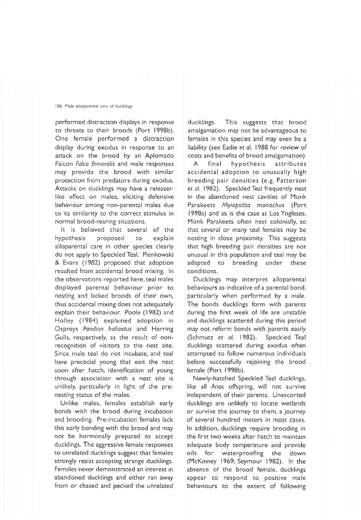#### 106 Male alloparental care of ducklings

performed distraction displays in response to threats to their broods (Port 1998b). One female performed a distraction display during exodus in response to an attack on the brood by an Aplomado Falcon *Falco femoralis* and male responses may provide the brood with similar protection from predators during exodus. Attacks on ducklings may have a releaserlike effect on males, eliciting defensive behaviour among non-parental males due to its similarity to the correct stimulus in normal brood-rearing situations.

It is believed that several of the hypothesis proposed to explain alloparental care in other species clearly do not apply to Speckled Teal. Pienkowski & Evans (1982) proposed that adoption resulted from accidental brood mixing. In the observations reported here, teal males displayed parental behaviour prior to nesting and lacked broods of their own, thus accidental mixing does not adequately explain their behaviour. Poole (1982) and Holley (1984) explained adoption in Ospreys *Pandion haliaetus* and Herring Gulls, respectively, as the result of nonrecognition of visitors to the nest site. Since male teal do not incubate, and teal have precocial young that exit the nest soon after hatch, identification of young through association with a nest site is unlikely, particularly in light of the prenesting status of the males.

Unlike males, females establish early bonds with the brood during incubation and brooding. Pre-incubation females lack this early bonding with the brood and may not be hormonally prepared to accept ducklings. The aggressive female responses to unrelated ducklings suggest that females strongly resist accepting strange ducklings. Females never demonstrated an interest in abandoned ducklings and either ran away from or chased and pecked the unrelated ducklings. This suggests that brood amalgamation may not be advantageous to females in this species and may even be a liability (see Eadie et *al.* 1988 for review of costs and benefits of brood amalgamation).

A final hypothesis attributes accidental adoption to unusually high breeding pair densities (e.g. Patterson et *al.* 1982). Speckled Teal frequently nest in the abandoned nest cavities of Monk Parakeets *Myiopsitta monachus* (Port 1998a) and as is the case at Los Yngleses, Monk Parakeets often nest colonially, so that several or many teal females may be nesting in close proximity. This suggests that high breeding pair densities are not unusual in this population and teal may be adapted to breeding under these conditions.

Ducklings may interpret alloparental behaviours as indicative of a parental bond, particularly when performed by a male. The bonds ducklings form with parents during the first week of life are unstable and ducklings scattered during this period may not reform bonds with parents easily (Schmutz et *al.* 1982). Speckled Teal ducklings scattered during exodus often attempted to follow numerous individuals before successfully rejoining the brood female (Port 1998b).

Newly-hatched Speckled Teal ducklings, like all *Anas* offspring, will not survive independent of their parents. Unescorted ducklings are unlikely to locate wetlands or survive the journey to them, a journey of several hundred meters in most cases. In addition, ducklings require brooding in the first two weeks after hatch to maintain adequate body temperature and provide oils for waterproofing the down (McKinney 1969; Seymour 1982). In the absence of the brood female, ducklings appear to respond to positive male behaviours to the extent of following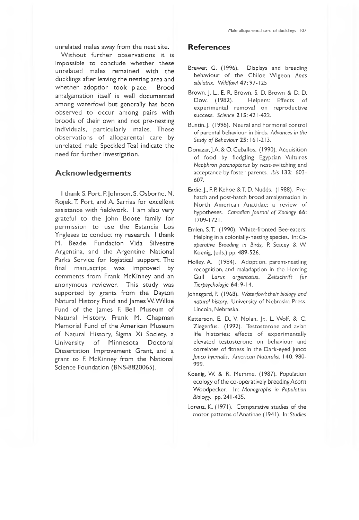unrelated males away from the nest site.

Without further observations it is impossible to conclude whether these unrelated males remained with the ducklings after leaving the nesting area and whether adoption took place. Brood amalgamation itself is well documented among waterfowl but generally has been observed to occur among pairs with broods of their own and not pre-nesting individuals, particularly males. These observations of alloparental care by unrelated male Speckled Teal indicate the need for further investigation.

## **A ckn o w le d ge m e n ts**

I thank S. Port, P. Johnson, S. Osborne, N. Rojek, T. Port, and A. Sarrias for excellent assistance with fieldwork. I am also very grateful to the John Boote family for permission to use the Estancia Los Yngleses to conduct my research. I thank M. Beade, Fundacion Vida Silvestre Argentina, and the Argentine National Parks Service for logistical support. The final manuscript was improved by comments from Frank McKinney and an anonymous reviewer. This study was supported by grants from the Dayton Natural History Fund and James W. Wilkie Fund of the James F. Bell Museum of Natural History, Frank M. Chapman Memorial Fund of the American Museum of Natural History, Sigma Xi Society, a University of Minnesota Doctoral Dissertation Improvement Grant, and a grant to F. McKinney from the National Science Foundation (BNS-8820065).

### **References**

- Brewer, G. (1996). Displays and breeding behaviour of the Chiloe W igeon *Anas sibilatrix. Wildfowl 47:* 97-125
- Brown, J. L., E. R. Brown, S. D. Brown & D. D. Dow. (1982). Helpers: Effects of experimental removal on reproductive success. *Science* 215: 421-422.
- Buntin.J. (1996). Neural and hormonal control of parental behaviour in birds. *Advances in the Study of Behaviour* 25: 161-213.
- Donazar, J.A. & O. Ceballos. (1990). Acquisition of food by fledgling Egyptian Vultures *Neophron percnopterus* by nest-switching and acceptance by foster parents. *Ibis* 132: 603- 607.
- Eadie, J., F. P. Kehoe&T. D. Nudds. (1988). Prehatch and post-hatch brood amalgamation in North American Anatidae: a review of hypotheses. *Canadian Journal of Zoology* 66: 1709-1721.
- Emien, S.T. (1990). White-fronted Bee-eaters: Helping in a colonially-nesting species. In: *Cooperative Breeding in Birds,* P. Stacey & W. Koenig, (eds.) pp. 489-526.
- Holley, A. (1984). Adoption, parent-nestling recognition, and maladaption in the Herring Gull *Larus argentatus. Zeitschrift fur Tierpsychologie* 64: 9-14.
- Johnsgard, P. (1968). *Waterfowl: their biology and natural history.* University of Nebraska Press. Lincoln, Nebraska.
- Ketterson, E. D., V. Nolan, Jr., L. Wolf, & C. Ziegenfus. (1992). Testosterone and avian life histories: effects of experimentally elevated testosterone on behaviour and correlates of fitness in the Dark-eyed Junco *Junco hyemaIis. American Naturalist* 140: 980- 999.
- Koenig, W. & R. Mumme. (1987). Population ecology of the co-operatively breeding Acorn Woodpecker. In: *Monographs in Population* Biology, pp. 241 -435.
- Lorenz, K. (1971). Comparative studies of the motor patterns of Anatinae ( 1941 ). In: *Studies*